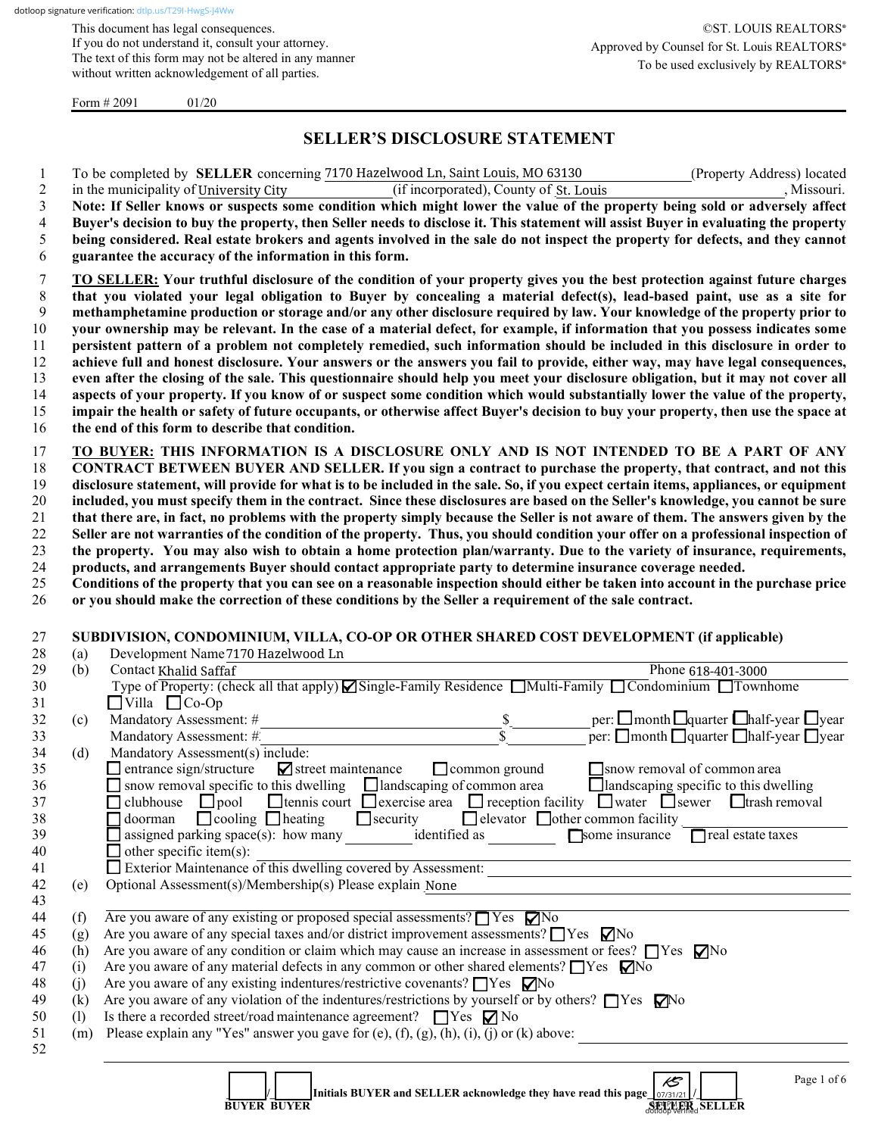This document has legal consequences. If you do not understand it, consult your attorney. The text of this form may not be altered in any manner without written acknowledgement of all parties.

Form  $\# 2091$  01/20

## **SELLER'S DISCLOSURE STATEMENT**

(if incorporated), County of St. Louis

1 To be completed by **SELLER** concerning 7170 Hazelwood Ln, Saint Louis, MO 63130 (Property Address) located 2 in the municipality of University City (if incorporated), County of St. Louis , Missouri.

| 3<br>4<br>5<br>6                       |     | Note: If Seller knows or suspects some condition which might lower the value of the property being sold or adversely affect<br>Buyer's decision to buy the property, then Seller needs to disclose it. This statement will assist Buyer in evaluating the property<br>being considered. Real estate brokers and agents involved in the sale do not inspect the property for defects, and they cannot<br>guarantee the accuracy of the information in this form.                                                                                                                                                                                                                                                                                                                                                                                                                             |
|----------------------------------------|-----|---------------------------------------------------------------------------------------------------------------------------------------------------------------------------------------------------------------------------------------------------------------------------------------------------------------------------------------------------------------------------------------------------------------------------------------------------------------------------------------------------------------------------------------------------------------------------------------------------------------------------------------------------------------------------------------------------------------------------------------------------------------------------------------------------------------------------------------------------------------------------------------------|
| 7<br>8                                 |     | TO SELLER: Your truthful disclosure of the condition of your property gives you the best protection against future charges<br>that you violated your legal obligation to Buyer by concealing a material defect(s), lead-based paint, use as a site for                                                                                                                                                                                                                                                                                                                                                                                                                                                                                                                                                                                                                                      |
| 9                                      |     | methamphetamine production or storage and/or any other disclosure required by law. Your knowledge of the property prior to                                                                                                                                                                                                                                                                                                                                                                                                                                                                                                                                                                                                                                                                                                                                                                  |
| $10\,$<br>11                           |     | your ownership may be relevant. In the case of a material defect, for example, if information that you possess indicates some                                                                                                                                                                                                                                                                                                                                                                                                                                                                                                                                                                                                                                                                                                                                                               |
| 12                                     |     | persistent pattern of a problem not completely remedied, such information should be included in this disclosure in order to<br>achieve full and honest disclosure. Your answers or the answers you fail to provide, either way, may have legal consequences,                                                                                                                                                                                                                                                                                                                                                                                                                                                                                                                                                                                                                                |
| 13                                     |     | even after the closing of the sale. This questionnaire should help you meet your disclosure obligation, but it may not cover all                                                                                                                                                                                                                                                                                                                                                                                                                                                                                                                                                                                                                                                                                                                                                            |
| 14                                     |     | aspects of your property. If you know of or suspect some condition which would substantially lower the value of the property,                                                                                                                                                                                                                                                                                                                                                                                                                                                                                                                                                                                                                                                                                                                                                               |
| 15                                     |     | impair the health or safety of future occupants, or otherwise affect Buyer's decision to buy your property, then use the space at                                                                                                                                                                                                                                                                                                                                                                                                                                                                                                                                                                                                                                                                                                                                                           |
| 16                                     |     | the end of this form to describe that condition.                                                                                                                                                                                                                                                                                                                                                                                                                                                                                                                                                                                                                                                                                                                                                                                                                                            |
| 17<br>18<br>19<br>20<br>21<br>22<br>23 |     | TO BUYER: THIS INFORMATION IS A DISCLOSURE ONLY AND IS NOT INTENDED TO BE A PART OF ANY<br>CONTRACT BETWEEN BUYER AND SELLER. If you sign a contract to purchase the property, that contract, and not this<br>disclosure statement, will provide for what is to be included in the sale. So, if you expect certain items, appliances, or equipment<br>included, you must specify them in the contract. Since these disclosures are based on the Seller's knowledge, you cannot be sure<br>that there are, in fact, no problems with the property simply because the Seller is not aware of them. The answers given by the<br>Seller are not warranties of the condition of the property. Thus, you should condition your offer on a professional inspection of<br>the property. You may also wish to obtain a home protection plan/warranty. Due to the variety of insurance, requirements, |
| 24                                     |     | products, and arrangements Buyer should contact appropriate party to determine insurance coverage needed.                                                                                                                                                                                                                                                                                                                                                                                                                                                                                                                                                                                                                                                                                                                                                                                   |
| 25                                     |     | Conditions of the property that you can see on a reasonable inspection should either be taken into account in the purchase price                                                                                                                                                                                                                                                                                                                                                                                                                                                                                                                                                                                                                                                                                                                                                            |
| 26                                     |     | or you should make the correction of these conditions by the Seller a requirement of the sale contract.                                                                                                                                                                                                                                                                                                                                                                                                                                                                                                                                                                                                                                                                                                                                                                                     |
| 27                                     |     | SUBDIVISION, CONDOMINIUM, VILLA, CO-OP OR OTHER SHARED COST DEVELOPMENT (if applicable)                                                                                                                                                                                                                                                                                                                                                                                                                                                                                                                                                                                                                                                                                                                                                                                                     |
| 28                                     | (a) | Development Name 7170 Hazelwood Ln                                                                                                                                                                                                                                                                                                                                                                                                                                                                                                                                                                                                                                                                                                                                                                                                                                                          |
| 29                                     | (b) | Contact Khalid Saffaf<br>Phone 618-401-3000                                                                                                                                                                                                                                                                                                                                                                                                                                                                                                                                                                                                                                                                                                                                                                                                                                                 |
| 30                                     |     | Type of Property: (check all that apply) Single-Family Residence Multi-Family Condominium Townhome                                                                                                                                                                                                                                                                                                                                                                                                                                                                                                                                                                                                                                                                                                                                                                                          |
| 31                                     |     | $\Box$ Villa $\Box$ Co-Op                                                                                                                                                                                                                                                                                                                                                                                                                                                                                                                                                                                                                                                                                                                                                                                                                                                                   |
| 32                                     | (c) | per: $\square$ month $\square$ quarter $\square$ half-year $\square$ year<br>Mandatory Assessment: #<br>$-\frac{1}{3}$                                                                                                                                                                                                                                                                                                                                                                                                                                                                                                                                                                                                                                                                                                                                                                      |
| 33                                     |     | per: $\Box$ month $\Box$ quarter $\Box$ half-year $\Box$ year<br>Mandatory Assessment: #                                                                                                                                                                                                                                                                                                                                                                                                                                                                                                                                                                                                                                                                                                                                                                                                    |
| 34                                     | (d) | Mandatory Assessment(s) include:                                                                                                                                                                                                                                                                                                                                                                                                                                                                                                                                                                                                                                                                                                                                                                                                                                                            |
| 35                                     |     | $\blacksquare$ street maintenance<br>common ground<br>$\Box$ entrance sign/structure<br>snow removal of common area                                                                                                                                                                                                                                                                                                                                                                                                                                                                                                                                                                                                                                                                                                                                                                         |
| 36                                     |     | Ilandscaping of common area<br>$\Box$ landscaping specific to this dwelling<br>$\Box$ snow removal specific to this dwelling                                                                                                                                                                                                                                                                                                                                                                                                                                                                                                                                                                                                                                                                                                                                                                |
| 37<br>38                               |     | $\Box$ pool $\Box$ tennis court $\Box$ exercise area $\Box$ reception facility $\Box$ water $\Box$ sewer $\Box$ trash removal<br>clubhouse<br>$\Box$ security<br>$\Box$ cooling $\Box$ heating<br>$\Box$ elevator $\Box$ other common facility<br>$\Box$ doorman                                                                                                                                                                                                                                                                                                                                                                                                                                                                                                                                                                                                                            |
| 39                                     |     | assigned parking $space(s)$ : how many<br>identified as<br>$\Box$ real estate taxes<br>Some insurance                                                                                                                                                                                                                                                                                                                                                                                                                                                                                                                                                                                                                                                                                                                                                                                       |
| 40                                     |     | $\Box$ other specific item(s):                                                                                                                                                                                                                                                                                                                                                                                                                                                                                                                                                                                                                                                                                                                                                                                                                                                              |
| 41                                     |     | Exterior Maintenance of this dwelling covered by Assessment:                                                                                                                                                                                                                                                                                                                                                                                                                                                                                                                                                                                                                                                                                                                                                                                                                                |
| 42                                     | (e) | Optional Assessment(s)/Membership(s) Please explain None                                                                                                                                                                                                                                                                                                                                                                                                                                                                                                                                                                                                                                                                                                                                                                                                                                    |
| 43                                     |     |                                                                                                                                                                                                                                                                                                                                                                                                                                                                                                                                                                                                                                                                                                                                                                                                                                                                                             |
| 44                                     | (f) | Are you aware of any existing or proposed special assessments? $\Box$ Yes $\nabla$ No                                                                                                                                                                                                                                                                                                                                                                                                                                                                                                                                                                                                                                                                                                                                                                                                       |
| 45                                     | (g) | Are you aware of any special taxes and/or district improvement assessments? $\Box$ Yes $\nabla$ No                                                                                                                                                                                                                                                                                                                                                                                                                                                                                                                                                                                                                                                                                                                                                                                          |
| 46                                     | (h) | Are you aware of any condition or claim which may cause an increase in assessment or fees? $\Box$ Yes $\nabla$ No                                                                                                                                                                                                                                                                                                                                                                                                                                                                                                                                                                                                                                                                                                                                                                           |
| 47                                     | (i) | Are you aware of any material defects in any common or other shared elements? $\Box$ Yes $\Box$ No                                                                                                                                                                                                                                                                                                                                                                                                                                                                                                                                                                                                                                                                                                                                                                                          |
| 48                                     | (j) | Are you aware of any existing indentures/restrictive covenants? □ Yes □ No                                                                                                                                                                                                                                                                                                                                                                                                                                                                                                                                                                                                                                                                                                                                                                                                                  |
| 49                                     | (k) | Are you aware of any violation of the indentures/restrictions by yourself or by others? $\Box$ Yes $\Box$ Yes                                                                                                                                                                                                                                                                                                                                                                                                                                                                                                                                                                                                                                                                                                                                                                               |
| 50                                     | (1) | Is there a recorded street/road maintenance agreement? $\Box$ Yes $\nabla$ No                                                                                                                                                                                                                                                                                                                                                                                                                                                                                                                                                                                                                                                                                                                                                                                                               |
| 51<br>52                               | (m) | Please explain any "Yes" answer you gave for (e), (f), (g), (h), (i), (j) or (k) above:                                                                                                                                                                                                                                                                                                                                                                                                                                                                                                                                                                                                                                                                                                                                                                                                     |
|                                        |     | Page 1 of 6<br>$\mathscr{E}$<br>Initials BUYER and SELLER acknowledge they have read this page $\frac{1}{07/31/21}$<br><b>BUYER BUYER</b><br><b>SETPMER</b> SELLER                                                                                                                                                                                                                                                                                                                                                                                                                                                                                                                                                                                                                                                                                                                          |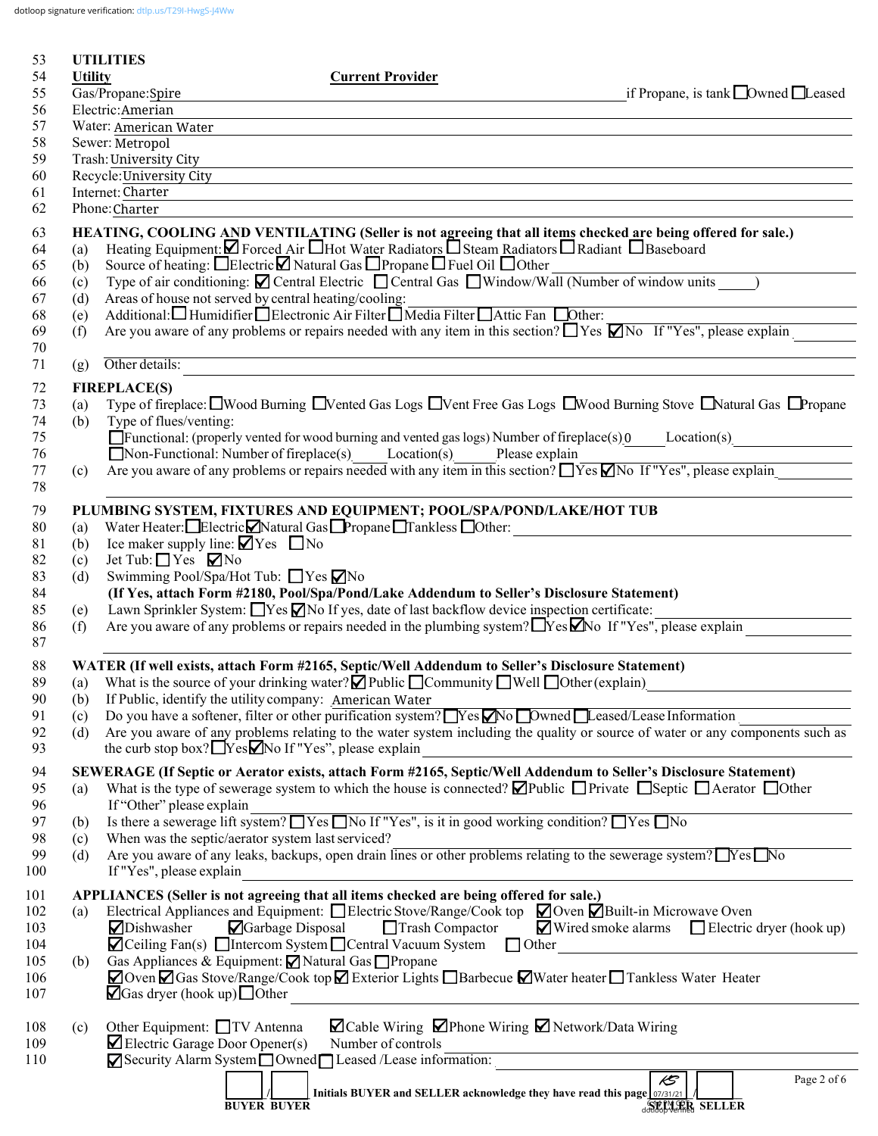dotloop signature verification: [dtlp.us/T29I-HwgS-J4Ww](https://dtlp.us/T29I-HwgS-J4Ww)

| 53<br>54   | <b>Utility</b> | <b>UTILITIES</b><br><b>Current Provider</b>                                                                                                                                                                                                                                |
|------------|----------------|----------------------------------------------------------------------------------------------------------------------------------------------------------------------------------------------------------------------------------------------------------------------------|
| 55         |                | Gas/Propane:Spire<br>if Propane, is tank $\Box$ Owned $\Box$ Leased                                                                                                                                                                                                        |
| 56         |                | Electric: Amerian                                                                                                                                                                                                                                                          |
| 57         |                | Water: American Water                                                                                                                                                                                                                                                      |
| 58         |                | Sewer: Metropol                                                                                                                                                                                                                                                            |
| 59         |                | Trash: University City                                                                                                                                                                                                                                                     |
| 60<br>61   |                | Recycle: University City<br>Internet: Charter                                                                                                                                                                                                                              |
| 62         |                | Phone: Charter                                                                                                                                                                                                                                                             |
| 63         |                | HEATING, COOLING AND VENTILATING (Seller is not agreeing that all items checked are being offered for sale.)                                                                                                                                                               |
| 64         | (a)            | Heating Equipment: Ø Forced Air Hot Water Radiators OSteam Radiators O Radiant O Baseboard                                                                                                                                                                                 |
| 65         | (b)            | Source of heating: □Electric□ Natural Gas □ Propane □ Fuel Oil □ Other                                                                                                                                                                                                     |
| 66         | (c)            | $\frac{1}{\text{Type of air conditioning:} \text{ Electric } \blacksquare \text{ Neural Class } \blacksquare \text{Fourier}}$<br>Type of air conditioning: $\blacksquare$ Central Electric $\blacksquare$ Central Gas $\blacksquare$ Window/Wall (Number of window units ) |
| 67         | (d)            | Areas of house not served by central heating/cooling:<br>Additional: Humidifier IElectronic Air Filter IMedia Filter IAttic Fan IOther:                                                                                                                                    |
| 68<br>69   | (e)<br>(f)     | Are you aware of any problems or repairs needed with any item in this section? $\Box$ Yes $\Box$ No If "Yes", please explain                                                                                                                                               |
| 70         |                |                                                                                                                                                                                                                                                                            |
| 71         | (g)            | Other details:                                                                                                                                                                                                                                                             |
| 72         |                | <b>FIREPLACE(S)</b>                                                                                                                                                                                                                                                        |
| 73         | (a)            | Type of fireplace: IWood Burning IVented Gas Logs IVent Free Gas Logs IWood Burning Stove INatural Gas IPropane                                                                                                                                                            |
| 74         | (b)            | Type of flues/venting:                                                                                                                                                                                                                                                     |
| 75         |                | $\Box$ Functional: (properly vented for wood burning and vented gas logs) Number of fireplace(s) 0 Location(s)                                                                                                                                                             |
| 76<br>77   |                | ■ Non-Functional: Number of fireplace(s) Location(s) Please explain<br>Are you aware of any problems or repairs needed with any item in this section? $\Box$ Yes $\Box$ No If "Yes", please explain                                                                        |
| 78         | (c)            |                                                                                                                                                                                                                                                                            |
| 79         |                | PLUMBING SYSTEM, FIXTURES AND EQUIPMENT; POOL/SPA/POND/LAKE/HOT TUB                                                                                                                                                                                                        |
| 80         | (a)            | Water Heater: Electric Matural Gas Propane Tankless Other:                                                                                                                                                                                                                 |
| 81         | (b)            | Ice maker supply line: $\blacksquare$ Yes $\blacksquare$ No                                                                                                                                                                                                                |
| 82         | (c)            | Jet Tub: $\Box$ Yes $\nabla$ No                                                                                                                                                                                                                                            |
| 83         | (d)            | Swimming Pool/Spa/Hot Tub: ■ Yes ■ No                                                                                                                                                                                                                                      |
| 84<br>85   | (e)            | (If Yes, attach Form #2180, Pool/Spa/Pond/Lake Addendum to Seller's Disclosure Statement)<br>Lawn Sprinkler System: $\Box$ Yes $\Box$ No If yes, date of last backflow device inspection certificate:                                                                      |
| 86         | (f)            | Are you aware of any problems or repairs needed in the plumbing system? TYes Mo If "Yes", please explain                                                                                                                                                                   |
| 87         |                |                                                                                                                                                                                                                                                                            |
| 88         |                | WATER (If well exists, attach Form #2165, Septic/Well Addendum to Seller's Disclosure Statement)                                                                                                                                                                           |
| 89         |                | (a) What is the source of your drinking water? $\blacksquare$ Public $\blacksquare$ Community $\blacksquare$ Well $\blacksquare$ Other (explain)                                                                                                                           |
| 90         | (b)            | If Public, identify the utility company: American Water                                                                                                                                                                                                                    |
| 91         | (c)            | Do you have a softener, filter or other purification system? $Yes$ No Dwned Leased/Lease Information                                                                                                                                                                       |
| 92<br>93   | (d)            | Are you aware of any problems relating to the water system including the quality or source of water or any components such as<br>the curb stop box? $\Box$ Yes $\Box$ No If "Yes", please explain                                                                          |
| 94         |                | SEWERAGE (If Septic or Aerator exists, attach Form #2165, Septic/Well Addendum to Seller's Disclosure Statement)                                                                                                                                                           |
| 95         | (a)            | What is the type of sewerage system to which the house is connected? $\Box$ Public $\Box$ Private $\Box$ Septic $\Box$ Aerator $\Box$ Other                                                                                                                                |
| 96         |                | If "Other" please explain                                                                                                                                                                                                                                                  |
| 97         | (b)            | Is there a sewerage lift system? $\Box$ Yes $\Box$ No If "Yes", is it in good working condition? $\Box$ Yes $\Box$ No                                                                                                                                                      |
| 98         | (c)            | When was the septic/aerator system last serviced?<br>Are you aware of any leaks, backups, open drain lines or other problems relating to the sewerage system? TYes No                                                                                                      |
| 99<br>100  | (d)            | If "Yes", please explain                                                                                                                                                                                                                                                   |
| 101        |                | APPLIANCES (Seller is not agreeing that all items checked are being offered for sale.)                                                                                                                                                                                     |
| 102        | (a)            | Electrical Appliances and Equipment: $\Box$ Electric Stove/Range/Cook top $\Box$ Oven $\Box$ Built-in Microwave Oven                                                                                                                                                       |
| 103        |                | Dishwasher<br>Garbage Disposal<br>Trash Compactor<br>$\blacksquare$ Wired smoke alarms $\blacksquare$ Electric dryer (hook up)                                                                                                                                             |
| 104        |                | $\Box$ Ceiling Fan(s) $\Box$ Intercom System $\Box$ Central Vacuum System $\Box$ Other                                                                                                                                                                                     |
| 105        | (b)            | Gas Appliances & Equipment: ⊠ Natural Gas □ Propane                                                                                                                                                                                                                        |
| 106<br>107 |                | ○ Oven ○ Gas Stove/Range/Cook top △ Exterior Lights □ Barbecue △ Water heater □ Tankless Water Heater<br>$\Box$ Gas dryer (hook up) $\Box$ Other                                                                                                                           |
|            |                |                                                                                                                                                                                                                                                                            |
| 108<br>109 | (c)            | ⊠ Cable Wiring ØPhone Wiring Ø Network/Data Wiring<br>Other Equipment: TV Antenna<br>$\blacktriangleright$ Electric Garage Door Opener(s)<br>Number of controls                                                                                                            |
| 110        |                | Security Alarm System Owned Leased /Lease information:                                                                                                                                                                                                                     |
|            |                | $\mathcal{E}$<br>Page 2 of 6                                                                                                                                                                                                                                               |
|            |                | Initials BUYER and SELLER acknowledge they have read this page 07/31/21                                                                                                                                                                                                    |
|            |                | <b>SELVER SELLER</b><br><b>BUYER BUYER</b>                                                                                                                                                                                                                                 |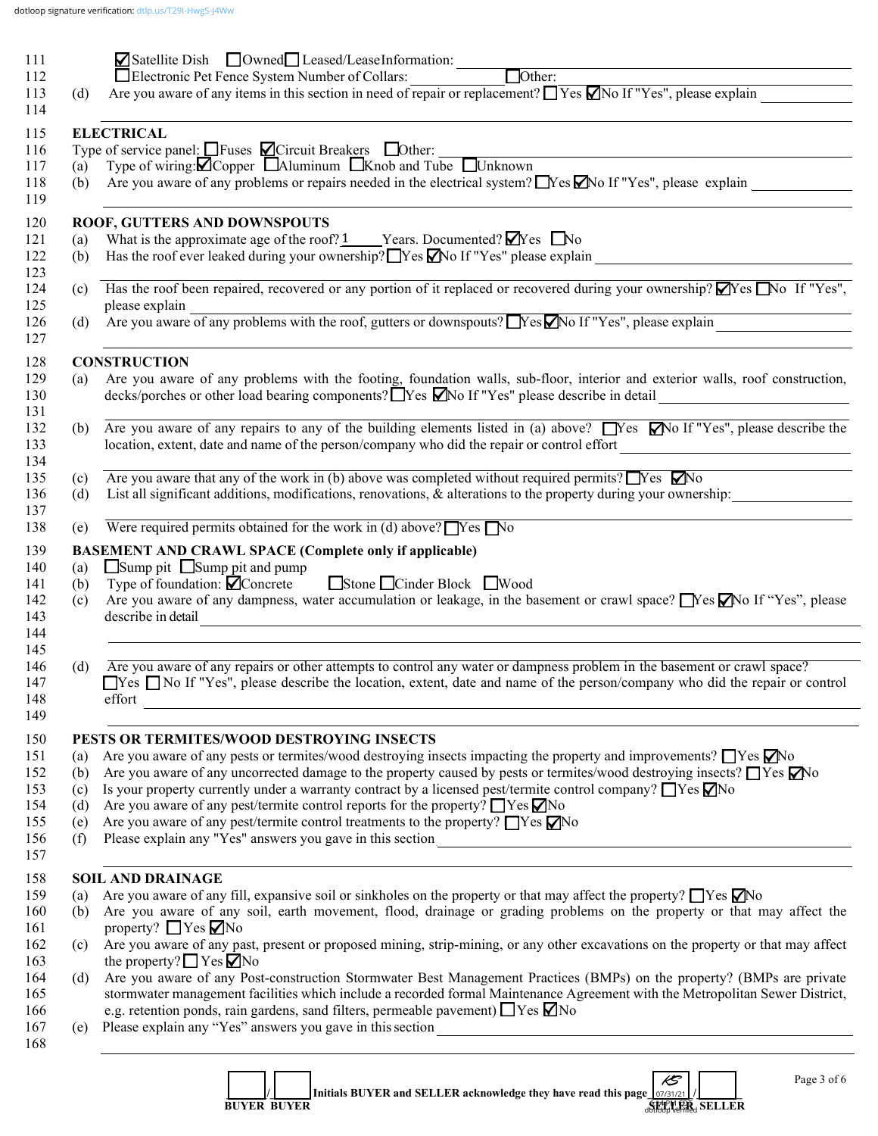|            | $\Box$ Satellite Dish $\Box$ Owned $\Box$ Leased/LeaseInformation:                                                                                                                                                                                                                                                                                                                                                                                                                                                                                 |
|------------|----------------------------------------------------------------------------------------------------------------------------------------------------------------------------------------------------------------------------------------------------------------------------------------------------------------------------------------------------------------------------------------------------------------------------------------------------------------------------------------------------------------------------------------------------|
|            |                                                                                                                                                                                                                                                                                                                                                                                                                                                                                                                                                    |
| (d)        |                                                                                                                                                                                                                                                                                                                                                                                                                                                                                                                                                    |
|            | <b>ELECTRICAL</b>                                                                                                                                                                                                                                                                                                                                                                                                                                                                                                                                  |
|            | Type of service panel: $\Box$ Fuses $\Box$ Circuit Breakers $\Box$ Other: $\Box$ (a) Type of wiring: $\Box$ Copper $\Box$ Aluminum $\Box$ Knob and Tube $\Box$ Unknown                                                                                                                                                                                                                                                                                                                                                                             |
|            |                                                                                                                                                                                                                                                                                                                                                                                                                                                                                                                                                    |
| (b)        | Are you aware of any problems or repairs needed in the electrical system? $\Box$ Yes $\Box$ No If "Yes", please explain                                                                                                                                                                                                                                                                                                                                                                                                                            |
|            | ROOF, GUTTERS AND DOWNSPOUTS                                                                                                                                                                                                                                                                                                                                                                                                                                                                                                                       |
| (a)        | What is the approximate age of the roof? $1$ Years. Documented? $\blacksquare$ Yes $\blacksquare$ No                                                                                                                                                                                                                                                                                                                                                                                                                                               |
| (b)        |                                                                                                                                                                                                                                                                                                                                                                                                                                                                                                                                                    |
| (c)        | Has the roof been repaired, recovered or any portion of it replaced or recovered during your ownership? $\blacktriangledown$ Yes $\blacktriangledown$ No If "Yes",                                                                                                                                                                                                                                                                                                                                                                                 |
|            | please explain                                                                                                                                                                                                                                                                                                                                                                                                                                                                                                                                     |
| (d)        | please explain<br>Are you aware of any problems with the roof, gutters or downspouts? No If "Yes", please explain                                                                                                                                                                                                                                                                                                                                                                                                                                  |
|            | <b>CONSTRUCTION</b>                                                                                                                                                                                                                                                                                                                                                                                                                                                                                                                                |
| (a)        | Are you aware of any problems with the footing, foundation walls, sub-floor, interior and exterior walls, roof construction,                                                                                                                                                                                                                                                                                                                                                                                                                       |
|            | decks/porches or other load bearing components? Tyes Mo If "Yes" please describe in detail<br><u> 1980 - Andrea Station Books, amerikansk politik (d. 1980)</u>                                                                                                                                                                                                                                                                                                                                                                                    |
|            | (b) Are you aware of any repairs to any of the building elements listed in (a) above? $\Box$ Yes $\Box$ No If "Yes", please describe the                                                                                                                                                                                                                                                                                                                                                                                                           |
|            | location, extent, date and name of the person/company who did the repair or control effort                                                                                                                                                                                                                                                                                                                                                                                                                                                         |
| (c)        | Are you aware that any of the work in (b) above was completed without required permits? $\Box$ Yes $\nabla$ No                                                                                                                                                                                                                                                                                                                                                                                                                                     |
|            | List all significant additions, modifications, renovations, & alterations to the property during your ownership:                                                                                                                                                                                                                                                                                                                                                                                                                                   |
| (d)        |                                                                                                                                                                                                                                                                                                                                                                                                                                                                                                                                                    |
| (e)        | Were required permits obtained for the work in (d) above? $\Box$ Yes $\Box$ No                                                                                                                                                                                                                                                                                                                                                                                                                                                                     |
| (a)        | <b>BASEMENT AND CRAWL SPACE (Complete only if applicable)</b><br>$\Box$ Sump pit $\Box$ Sump pit and pump                                                                                                                                                                                                                                                                                                                                                                                                                                          |
| (b)<br>(c) | Stone Cinder Block Wood<br>Type of foundation: $\blacksquare$ Concrete<br>describe in detail                                                                                                                                                                                                                                                                                                                                                                                                                                                       |
|            | <u> 1989 - Johann Stein, marwolaethau a bhann an t-Amhain an t-Amhain an t-Amhain an t-Amhain an t-Amhain an t-A</u>                                                                                                                                                                                                                                                                                                                                                                                                                               |
| (d)        | Are you aware of any repairs or other attempts to control any water or dampness problem in the basement or crawl space?<br>effort<br>the contract of the contract of the contract of the contract of the contract of the contract of the contract of                                                                                                                                                                                                                                                                                               |
|            |                                                                                                                                                                                                                                                                                                                                                                                                                                                                                                                                                    |
|            | PESTS OR TERMITES/WOOD DESTROYING INSECTS                                                                                                                                                                                                                                                                                                                                                                                                                                                                                                          |
| (a)<br>(b) | Are you aware of any pests or termites/wood destroying insects impacting the property and improvements? $\Box$ Yes $\Box$ No                                                                                                                                                                                                                                                                                                                                                                                                                       |
| (c)        | Are you aware of any uncorrected damage to the property caused by pests or termites/wood destroying insects? $\Box$ Yes $\Box$ No<br>Is your property currently under a warranty contract by a licensed pest/termite control company? $\Box$ Yes $\Box$ No                                                                                                                                                                                                                                                                                         |
| (d)        | Are you aware of any pest/termite control reports for the property? $\Box$ Yes $\nabla$ No                                                                                                                                                                                                                                                                                                                                                                                                                                                         |
| (e)        | Are you aware of any pest/termite control treatments to the property? $\Box$ Yes $\nabla$ No                                                                                                                                                                                                                                                                                                                                                                                                                                                       |
| (f)        |                                                                                                                                                                                                                                                                                                                                                                                                                                                                                                                                                    |
|            |                                                                                                                                                                                                                                                                                                                                                                                                                                                                                                                                                    |
| (a)        | <b>SOIL AND DRAINAGE</b>                                                                                                                                                                                                                                                                                                                                                                                                                                                                                                                           |
| (b)        | Are you aware of any fill, expansive soil or sinkholes on the property or that may affect the property? $\Box$ Yes $\Box$ No                                                                                                                                                                                                                                                                                                                                                                                                                       |
| (c)        | property? $\Box$ Yes $\nabla$ No                                                                                                                                                                                                                                                                                                                                                                                                                                                                                                                   |
|            | Are you aware of any dampness, water accumulation or leakage, in the basement or crawl space? No If "Yes", please<br>□Yes □No If "Yes", please describe the location, extent, date and name of the person/company who did the repair or control<br>Are you aware of any soil, earth movement, flood, drainage or grading problems on the property or that may affect the<br>Are you aware of any past, present or proposed mining, strip-mining, or any other excavations on the property or that may affect<br>the property? $\Box$ Yes $\Box$ No |
| (d)        |                                                                                                                                                                                                                                                                                                                                                                                                                                                                                                                                                    |
|            |                                                                                                                                                                                                                                                                                                                                                                                                                                                                                                                                                    |
| (e)        | Are you aware of any Post-construction Stormwater Best Management Practices (BMPs) on the property? (BMPs are private<br>stormwater management facilities which include a recorded formal Maintenance Agreement with the Metropolitan Sewer District,<br>e.g. retention ponds, rain gardens, sand filters, permeable pavement) $\Box$ Yes $\nabla$ No                                                                                                                                                                                              |

|                    | Initials BUYER and SELLER acknowledge they have read this page $\frac{1}{27}$ |                      |  |
|--------------------|-------------------------------------------------------------------------------|----------------------|--|
| <b>BUYER BUYER</b> |                                                                               | <b>SELLER SELLER</b> |  |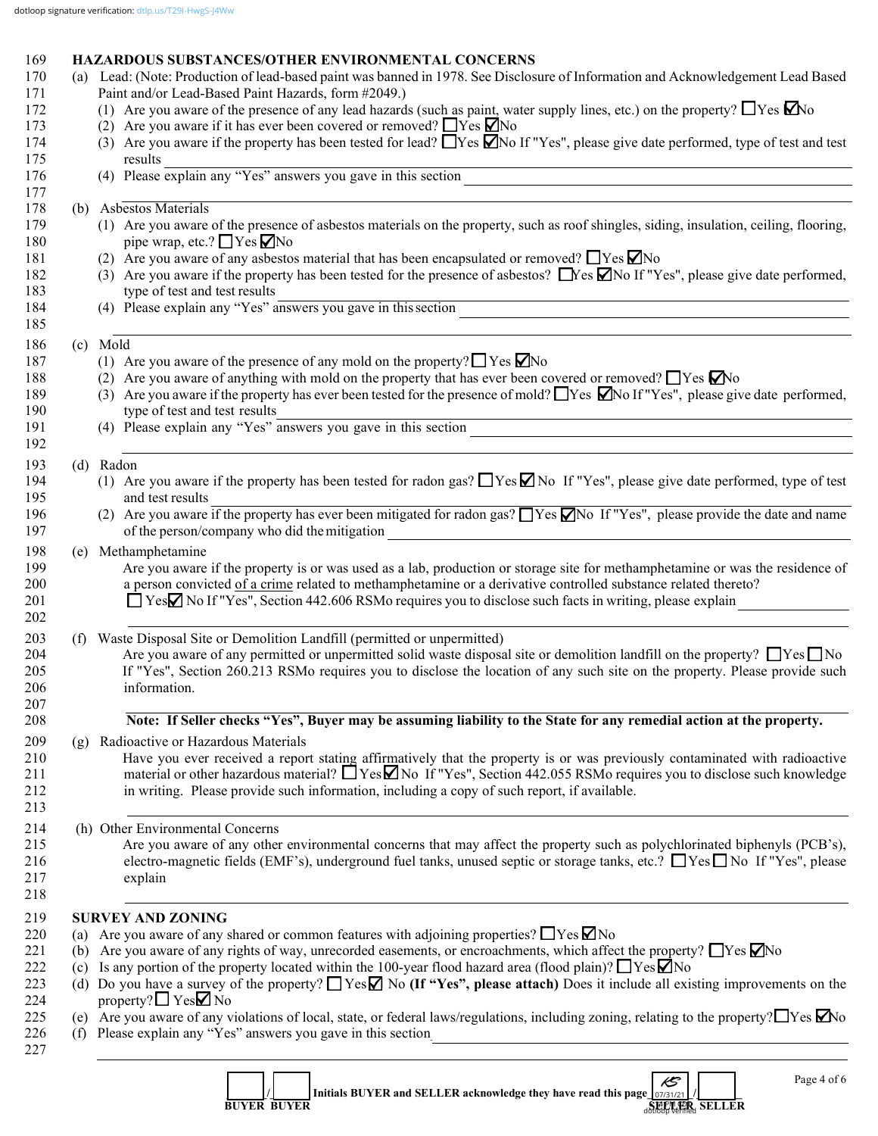# 169 **HAZARDOUS SUBSTANCES/OTHER ENVIRONMENTAL CONCERNS**<br>170 (a) Lead: (Note: Production of lead-based naint was banned in 1978, See Disclose

| 170<br>171 |     | (a) Lead: (Note: Production of lead-based paint was banned in 1978. See Disclosure of Information and Acknowledgement Lead Based<br>Paint and/or Lead-Based Paint Hazards, form #2049.)                                                              |
|------------|-----|------------------------------------------------------------------------------------------------------------------------------------------------------------------------------------------------------------------------------------------------------|
| 172        |     | (1) Are you aware of the presence of any lead hazards (such as paint, water supply lines, etc.) on the property? $\Box$ Yes $\Box$ No                                                                                                                |
| 173        |     | (2) Are you aware if it has ever been covered or removed? $\Box$ Yes $\Box$ No                                                                                                                                                                       |
| 174<br>175 |     | (3) Are you aware if the property has been tested for lead? $\Box$ Yes $\Box$ No If "Yes", please give date performed, type of test and test<br>results                                                                                              |
| 176        |     | (4) Please explain any "Yes" answers you gave in this section                                                                                                                                                                                        |
| 177        |     |                                                                                                                                                                                                                                                      |
| 178        |     | (b) Asbestos Materials                                                                                                                                                                                                                               |
| 179        |     | (1) Are you aware of the presence of asbestos materials on the property, such as roof shingles, siding, insulation, ceiling, flooring,                                                                                                               |
| 180        |     | pipe wrap, etc.? $\Box$ Yes $\Box$ No                                                                                                                                                                                                                |
| 181        |     | (2) Are you aware of any asbestos material that has been encapsulated or removed? $\Box$ Yes $\Box$ No<br>(3) Are you aware if the property has been tested for the presence of asbestos? $\Box$ Yes $\Box$ No If "Yes", please give date performed, |
| 182        |     | type of test and test results                                                                                                                                                                                                                        |
| 183        |     | type of test and test results<br>(4) Please explain any "Yes" answers you gave in this section                                                                                                                                                       |
| 184<br>185 |     |                                                                                                                                                                                                                                                      |
| 186        |     | (c) Mold                                                                                                                                                                                                                                             |
| 187        |     | (1) Are you aware of the presence of any mold on the property? $\Box$ Yes $\Box$ No                                                                                                                                                                  |
| 188        |     | (2) Are you aware of anything with mold on the property that has ever been covered or removed? $\Box$ Yes $\Box$ No                                                                                                                                  |
| 189        |     | (3) Are you aware if the property has ever been tested for the presence of mold? These $\Box$ No If "Yes", please give date performed,                                                                                                               |
| 190        |     | type of test and test results                                                                                                                                                                                                                        |
| 191        |     | type of test and test results<br>(4) Please explain any "Yes" answers you gave in this section                                                                                                                                                       |
| 192        |     |                                                                                                                                                                                                                                                      |
| 193        |     | (d) Radon                                                                                                                                                                                                                                            |
| 194        |     | (1) Are you aware if the property has been tested for radon gas? $\Box$ Yes $\Box$ No If "Yes", please give date performed, type of test                                                                                                             |
| 195        |     | and test results                                                                                                                                                                                                                                     |
| 196        |     | (2) Are you aware if the property has ever been mitigated for radon gas? $\Box$ Yes $\Box$ No If "Yes", please provide the date and name                                                                                                             |
| 197        |     | of the person/company who did the mitigation<br><u> 1989 - Johann Stoff, Amerikaansk politiker († 1908)</u>                                                                                                                                          |
| 198        | (e) | Methamphetamine                                                                                                                                                                                                                                      |
| 199        |     | Are you aware if the property is or was used as a lab, production or storage site for methamphetamine or was the residence of                                                                                                                        |
| 200        |     | a person convicted of a crime related to methamphetamine or a derivative controlled substance related thereto?                                                                                                                                       |
| 201        |     | □ YesΩ No If "Yes", Section 442.606 RSMo requires you to disclose such facts in writing, please explain                                                                                                                                              |
| 202        |     |                                                                                                                                                                                                                                                      |
| 203        | (f) | Waste Disposal Site or Demolition Landfill (permitted or unpermitted)                                                                                                                                                                                |
| 204        |     | Are you aware of any permitted or unpermitted solid waste disposal site or demolition landfill on the property? $\Box$ Yes $\Box$ No                                                                                                                 |
| 205        |     | If "Yes", Section 260.213 RSMo requires you to disclose the location of any such site on the property. Please provide such                                                                                                                           |
| 206<br>207 |     | information.                                                                                                                                                                                                                                         |
| 208        |     | Note: If Seller checks "Yes", Buyer may be assuming liability to the State for any remedial action at the property.                                                                                                                                  |
| 209        | (g) | Radioactive or Hazardous Materials                                                                                                                                                                                                                   |
| 210        |     | Have you ever received a report stating affirmatively that the property is or was previously contaminated with radioactive                                                                                                                           |
| 211        |     | material or other hazardous material? $\Box$ Yes $\Box$ No If "Yes", Section 442.055 RSMo requires you to disclose such knowledge                                                                                                                    |
| 212        |     | in writing. Please provide such information, including a copy of such report, if available.                                                                                                                                                          |
| 213        |     |                                                                                                                                                                                                                                                      |
| 214        |     | (h) Other Environmental Concerns                                                                                                                                                                                                                     |
| 215        |     | Are you aware of any other environmental concerns that may affect the property such as polychlorinated biphenyls (PCB's),                                                                                                                            |
| 216        |     | electro-magnetic fields (EMF's), underground fuel tanks, unused septic or storage tanks, etc.? ■ Yes ■ No If "Yes", please                                                                                                                           |
| 217        |     | explain                                                                                                                                                                                                                                              |
| 218        |     |                                                                                                                                                                                                                                                      |
| 219        |     | <b>SURVEY AND ZONING</b>                                                                                                                                                                                                                             |
| 220        | (a) | Are you aware of any shared or common features with adjoining properties? $\Box$ Yes $\Box$ No                                                                                                                                                       |
| 221        | (b) | Are you aware of any rights of way, unrecorded easements, or encroachments, which affect the property? $\Box$ Yes $\Box$ No                                                                                                                          |
| 222        | (c) | Is any portion of the property located within the 100-year flood hazard area (flood plain)? $\Box$ Yes $\Box$ No                                                                                                                                     |
| 223        |     | (d) Do you have a survey of the property? $\Box$ Yes $\Box$ No (If "Yes", please attach) Does it include all existing improvements on the                                                                                                            |
| 224        |     | property? $\Box$ Yes $\Box$ No                                                                                                                                                                                                                       |
| 225        |     | (e) Are you aware of any violations of local, state, or federal laws/regulations, including zoning, relating to the property? $\Box$ Yes $\Box$ No                                                                                                   |
| 226        |     | (f) Please explain any "Yes" answers you gave in this section<br><u> 1980 - Andrea Station Barbara, amerikan personal (h. 1980).</u>                                                                                                                 |
| 227        |     |                                                                                                                                                                                                                                                      |
|            |     | Page 4 of 6<br>$\mathcal{E}$                                                                                                                                                                                                                         |
|            |     |                                                                                                                                                                                                                                                      |

|                    | Initials BUYER and SELLER acknowledge they have read this page   07/31/21   / |                       |  |
|--------------------|-------------------------------------------------------------------------------|-----------------------|--|
| <b>BUYER BUYER</b> |                                                                               | <b>STEP PR SELLER</b> |  |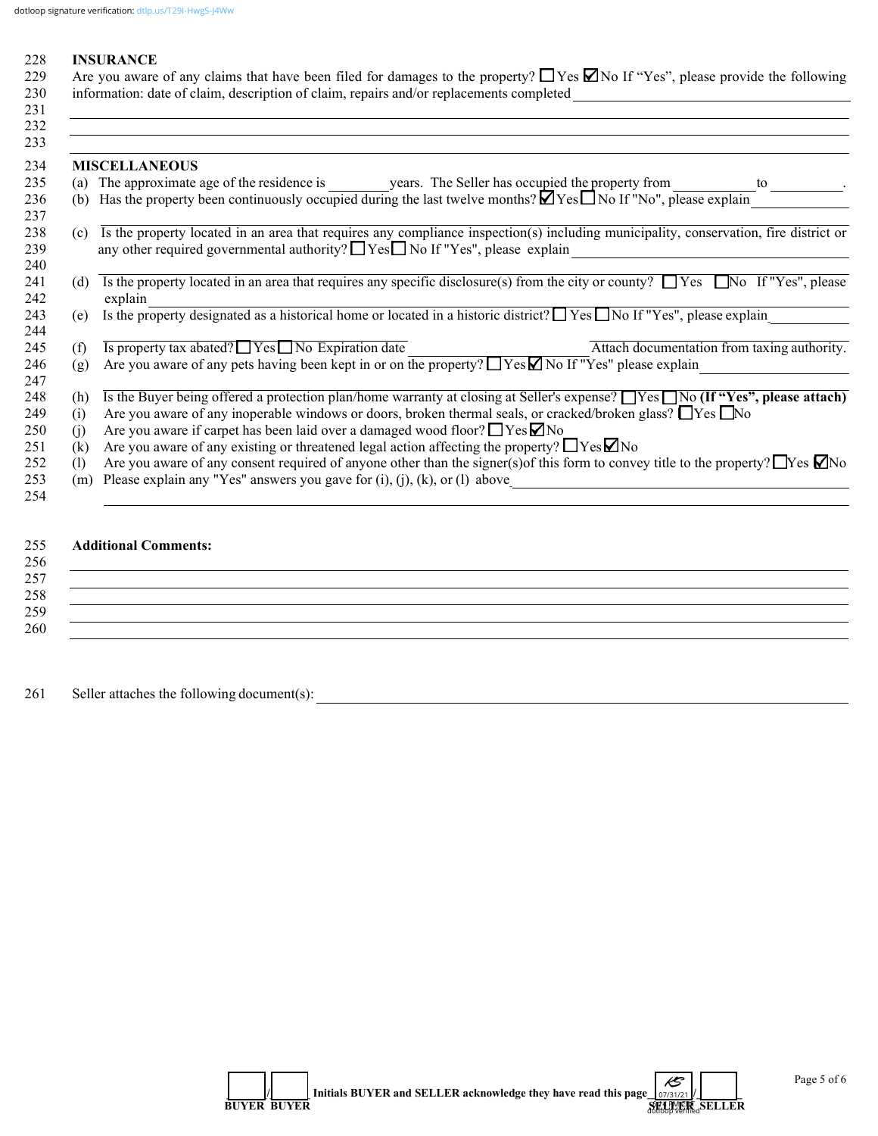231 \_\_\_\_\_\_\_\_\_\_\_\_\_\_\_\_\_\_\_\_\_\_\_\_\_\_\_\_\_\_\_\_\_\_\_\_\_\_\_\_\_\_\_\_\_\_\_\_\_\_\_\_\_\_\_\_\_\_\_\_\_\_\_\_\_\_\_\_\_\_\_\_\_\_\_\_\_\_\_\_\_\_\_\_\_\_\_\_\_\_\_\_\_\_\_\_\_\_\_\_\_\_\_\_\_\_\_\_

#### 228 **INSURANCE**

| 229 Are you aware of any claims that have been filed for damages to the property? $\Box$ Yes $\Box$ No If "Yes", please provide the following |
|-----------------------------------------------------------------------------------------------------------------------------------------------|
| 230 information: date of claim, description of claim, repairs and/or replacements completed                                                   |

| 232 |          |                                                                                                                                                                                                                                  |
|-----|----------|----------------------------------------------------------------------------------------------------------------------------------------------------------------------------------------------------------------------------------|
| 233 |          |                                                                                                                                                                                                                                  |
| 234 |          | <b>MISCELLANEOUS</b>                                                                                                                                                                                                             |
| 235 | (a)      | The approximate age of the residence is years. The Seller has occupied the property from<br>to                                                                                                                                   |
| 236 | (b)      | Has the property been continuously occupied during the last twelve months? $\blacksquare$ Yes $\blacksquare$ No If "No", please explain                                                                                          |
|     | (c)      | Is the property located in an area that requires any compliance inspection(s) including municipality, conservation, fire district or<br>any other required governmental authority? $\Box$ Yes $\Box$ No If "Yes", please explain |
|     | (d)      | Is the property located in an area that requires any specific disclosure(s) from the city or county? $\Box$ Yes $\Box$ No If "Yes", please<br>explain                                                                            |
|     | (e)      | Is the property designated as a historical home or located in a historic district? $\Box$ Yes $\Box$ No If "Yes", please explain                                                                                                 |
|     | (f)      | $\overline{Is$ property tax abated? $\Box$ Yes $\Box$ No Expiration date<br>Attach documentation from taxing authority.                                                                                                          |
|     | (g)      | Are you aware of any pets having been kept in or on the property? $\Box$ Yes $\Box$ No If "Yes" please explain                                                                                                                   |
|     |          |                                                                                                                                                                                                                                  |
|     | (h)      | Is the Buyer being offered a protection plan/home warranty at closing at Seller's expense? $\Box$ Yes $\Box$ No (If "Yes", please attach)                                                                                        |
|     | (i)      | Are you aware of any inoperable windows or doors, broken thermal seals, or cracked/broken glass? $\Box$ Yes $\Box$ No                                                                                                            |
|     | (i)      | Are you aware if carpet has been laid over a damaged wood floor? $\Box$ Yes $\nabla$ No                                                                                                                                          |
|     | $\rm(k)$ | Are you aware of any existing or threatened legal action affecting the property? $\Box$ Yes $\Box$ No                                                                                                                            |
|     | (1)      | Are you aware of any consent required of anyone other than the signer(s) of this form to convey title to the property? $\Box$ Yes $\Box$ No                                                                                      |
|     | (m)      | Please explain any "Yes" answers you gave for $(i)$ , $(j)$ , $(k)$ , or $(l)$ above                                                                                                                                             |
|     |          |                                                                                                                                                                                                                                  |

## 255 **Additional Comments:**

### $256$  $257$ 258 \_\_\_\_\_\_\_\_\_\_\_\_\_\_\_\_\_\_\_\_\_\_\_\_\_\_\_\_\_\_\_\_\_\_\_\_\_\_\_\_\_\_\_\_\_\_\_\_\_\_\_\_\_\_\_\_\_\_\_\_\_\_\_\_\_\_\_\_\_\_\_\_\_\_\_\_\_\_\_\_\_\_\_\_\_\_\_\_\_\_\_\_\_\_\_\_\_\_\_\_\_\_\_\_\_\_\_\_  $259$   $\overline{\phantom{a}}$ 260 \_\_\_\_\_\_\_\_\_\_\_\_\_\_\_\_\_\_\_\_\_\_\_\_\_\_\_\_\_\_\_\_\_\_\_\_\_\_\_\_\_\_\_\_\_\_\_\_\_\_\_\_\_\_\_\_\_\_\_\_\_\_\_\_\_\_\_\_\_\_\_\_\_\_\_\_\_\_\_\_\_\_\_\_\_\_\_\_\_\_\_\_\_\_\_\_\_\_\_\_\_\_\_\_\_\_\_\_

261 Seller attaches the following document(s): \_\_\_\_\_\_\_\_\_\_\_\_\_\_\_\_\_\_\_\_\_\_\_\_\_\_\_\_\_\_\_\_\_\_